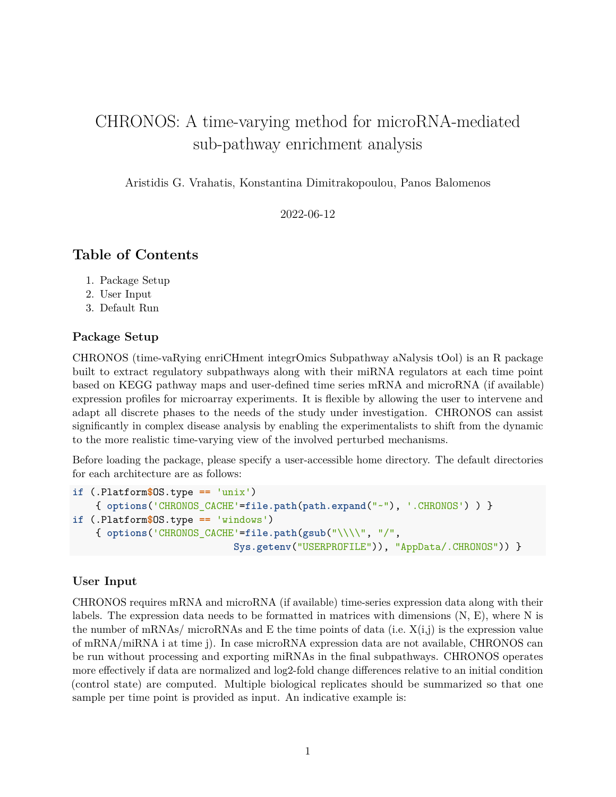# CHRONOS: A time-varying method for microRNA-mediated sub-pathway enrichment analysis

Aristidis G. Vrahatis, Konstantina Dimitrakopoulou, Panos Balomenos

2022-06-12

# **Table of Contents**

- 1. Package Setup
- 2. User Input
- 3. Default Run

### **Package Setup**

CHRONOS (time-vaRying enriCHment integrOmics Subpathway aNalysis tOol) is an R package built to extract regulatory subpathways along with their miRNA regulators at each time point based on KEGG pathway maps and user-defined time series mRNA and microRNA (if available) expression profiles for microarray experiments. It is flexible by allowing the user to intervene and adapt all discrete phases to the needs of the study under investigation. CHRONOS can assist significantly in complex disease analysis by enabling the experimentalists to shift from the dynamic to the more realistic time-varying view of the involved perturbed mechanisms.

Before loading the package, please specify a user-accessible home directory. The default directories for each architecture are as follows:

```
if (.Platform$OS.type == 'unix')
    { options('CHRONOS_CACHE'=file.path(path.expand("~"), '.CHRONOS') ) }
if (.Platform$OS.type == 'windows')
    { options('CHRONOS_CACHE'=file.path(gsub("\\\\", "/",
                            Sys.getenv("USERPROFILE")), "AppData/.CHRONOS")) }
```
#### **User Input**

CHRONOS requires mRNA and microRNA (if available) time-series expression data along with their labels. The expression data needs to be formatted in matrices with dimensions  $(N, E)$ , where N is the number of mRNAs/ microRNAs and E the time points of data (i.e.  $X(i,j)$ ) is the expression value of mRNA/miRNA i at time j). In case microRNA expression data are not available, CHRONOS can be run without processing and exporting miRNAs in the final subpathways. CHRONOS operates more effectively if data are normalized and log2-fold change differences relative to an initial condition (control state) are computed. Multiple biological replicates should be summarized so that one sample per time point is provided as input. An indicative example is: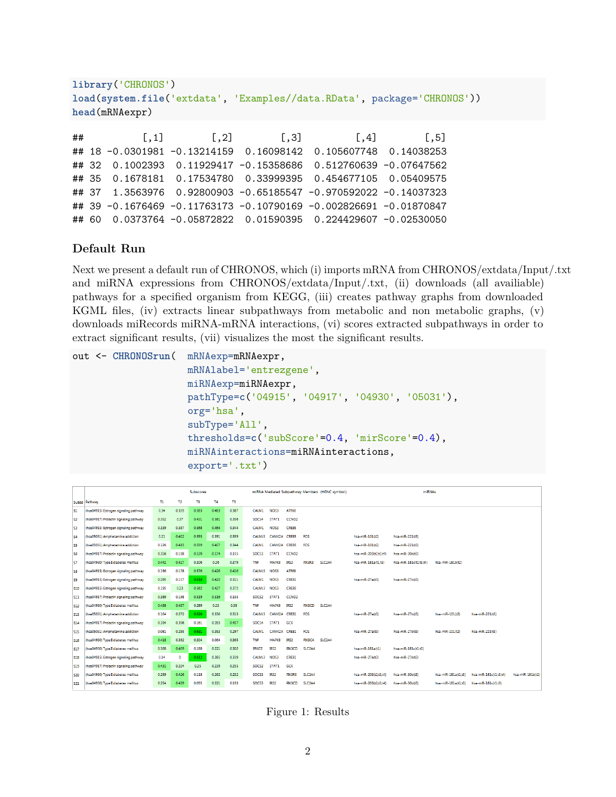```
library('CHRONOS')
load(system.file('extdata', 'Examples//data.RData', package='CHRONOS'))
head(mRNAexpr)
## [,1] [,2] [,3] [,4] [,5]
## 18 -0.0301981 -0.13214159 0.16098142 0.105607748 0.14038253
## 32 0.1002393 0.11929417 -0.15358686 0.512760639 -0.07647562
## 35 0.1678181 0.17534780 0.33999395 0.454677105 0.05409575
## 37 1.3563976 0.92800903 -0.65185547 -0.970592022 -0.14037323
## 39 -0.1676469 -0.11763173 -0.10790169 -0.002826691 -0.01870847
## 60 0.0373764 -0.05872822 0.01590395 0.224429607 -0.02530050
```
## **Default Run**

Next we present a default run of CHRONOS, which (i) imports mRNA from CHRONOS/extdata/Input/.txt and miRNA expressions from CHRONOS/extdata/Input/.txt, (ii) downloads (all availiable) pathways for a specified organism from KEGG, (iii) creates pathway graphs from downloaded KGML files, (iv) extracts linear subpathways from metabolic and non metabolic graphs, (v) downloads miRecords miRNA-mRNA interactions, (vi) scores extracted subpathways in order to extract significant results, (vii) visualizes the most the significant results.

```
out <- CHRONOSrun( mRNAexp=mRNAexpr,
                    mRNAlabel='entrezgene',
                    miRNAexp=miRNAexpr,
                    pathType=c('04915', '04917', '04930', '05031'),
                    org='hsa',
                    subType='All',
                    thresholds=c('subScore'=0.4, 'mirScore'=0.4),
                    miRNAinteractions=miRNAinteractions,
                    export='.txt')
```

|                |                                        | Subscores |                |       |       |       | miRNA Mediated Subpathway Members (HGNC symbol) |                  |                   |                     | miRNAs              |                       |                        |                     |                        |                  |
|----------------|----------------------------------------|-----------|----------------|-------|-------|-------|-------------------------------------------------|------------------|-------------------|---------------------|---------------------|-----------------------|------------------------|---------------------|------------------------|------------------|
|                | SubId Pathway                          | п.        | T <sub>2</sub> | T3    | T4    | T5    |                                                 |                  |                   |                     |                     |                       |                        |                     |                        |                  |
| S1             | (hsa04915) Estrogen signaling pathway  | 0.34      | 0.335          | 0.583 | 0.463 | 0.387 | CALM1                                           | NO <sub>53</sub> | ATF6B             |                     |                     |                       |                        |                     |                        |                  |
| S <sub>2</sub> | (hsa04917) Prolactin signaling pathway | 0.352     | 0.37           | 0.431 | 0.561 | 0.356 | SOC54                                           | STAT1            | CCND <sub>2</sub> |                     |                     |                       |                        |                     |                        |                  |
| S3             | (hsa04915) Estrogen signaling pathway  | 0.339     | 0.387          | 0.568 | 0.464 | 0.344 | CALM1                                           | NO <sub>53</sub> | <b>CREBS</b>      |                     |                     |                       |                        |                     |                        |                  |
| S <sub>4</sub> | (hsa05031) Amphetamine addiction       | 0.21      | 0.402          | 0.555 | 0.391 | 0.359 | CALML3                                          | CAMK2A           | <b>CREBS</b>      | FOS                 |                     | hsa-miR-101(t2)       | hsa-miR-221(t3)        |                     |                        |                  |
| <b>SS</b>      | (hsa05031) Amphetamine addiction       | 0.126     | 0.415          | 0.559 | 0.407 | 0.344 | <b>CALM1</b>                                    | CAMK2A           | <b>CREBS</b>      | FOS                 |                     | hsa-miR-101(t2)       | hsa-miR-221(t3)        |                     |                        |                  |
| IS6            | (hsa04917) Prolactin signaling pathway | 0.356     | 0.198          | 0.539 | 0.574 | 0.155 | SOCS3                                           | STAT1            | CCND <sub>2</sub> |                     |                     | hsa-miR-203(t2.t3.t4) | hsa-miR-30b(t3)        |                     |                        |                  |
| ls7            | (hsa04930) Type II diabetes mellitus   | 0.442     | 0.427          | 0.306 | 0.26  | 0.379 | <b>TNF</b>                                      | <b>MAPK8</b>     | IRS2              | PIK3R3              | SLC2A4              | hsa-miR-181a(t1.t3)   | hsa-miR-181c(t1,t3,t4) | hsa-miR-181b(t2)    |                        |                  |
| ISB            | (hsa04915) Estrogen signaling pathway  | 0.196     | 0.178          | 0.576 | 0.426 | 0.416 | CALML3                                          | NO <sub>53</sub> | ATF6B             |                     |                     |                       |                        |                     |                        |                  |
| S9             | (hsa04915) Estrogen signaling pathway  | 0.285     | 0.157          | 0.618 | 0.422 | 0.311 | CALM1                                           | NO <sub>53</sub> | <b>CREB1</b>      |                     |                     | hsa-miR-27a(t3)       | hsa-miR-27b(t3)        |                     |                        |                  |
| <b>S10</b>     | (hsa04915) Estrogen signaling pathway  | 0.195     | 0.23           | 0.562 | 0.427 | 0.372 | CALML3                                          | NO <sub>53</sub> | <b>CREBS</b>      |                     |                     |                       |                        |                     |                        |                  |
| <b>S11</b>     | (hsa04917) Prolactin signaling pathway | 0.389     | 0.198          | 0.519 | 0.516 | 0.155 | SOCS <sub>2</sub>                               | STAT1            | CCND <sub>2</sub> |                     |                     |                       |                        |                     |                        |                  |
| <b>S12</b>     | (hsa04930) Type II diabetes mellitus   | 0.438     | 0.437          | 0.289 | 0.23  | 0.35  | <b>TNF</b>                                      | <b>MAPK8</b>     | IRS2              | PIK3CD              | SLC <sub>2</sub> A4 |                       |                        |                     |                        |                  |
| \$13           | (hsa05031) Amphetamine addiction       | 0.164     | 0.272          | 0.626 | 0.336 | 0.313 | CALML3                                          | CAMK2A           | <b>CREB1</b>      | FOS                 |                     | hsa-miR-27a(t3)       | hsa-miR-27b(t3)        | hsa-miR-101(t2)     | hsa-miR-221(t3)        |                  |
| S14            | (hsa04917) Prolactin signaling pathway | 0.394     | 0.396          | 0.161 | 0.283 | 0.457 | SOCS4                                           | STAT1            | <b>GCK</b>        |                     |                     |                       |                        |                     |                        |                  |
| <b>S15</b>     | (hsa05031) Amphetamine addiction       | 0.081     | 0.285          | 0.631 | 0.353 | 0.297 | <b>CALM1</b>                                    | CAMK2A           | <b>CREB1</b>      | FOS                 |                     | hsa-miR-27a(t3)       | hsa-miR-27b(t3)        | hsa-miR-101(t2)     | hsa-miR-221(t3)        |                  |
| <b>S16</b>     | (hsa04930) Type II diabetes mellitus   | 0.418     | 0.392          | 0.304 | 0.064 | 0.365 | <b>TNF</b>                                      | <b>MAPKS</b>     | IRS2              | <b>PIKBCA</b>       | <b>SLC2A4</b>       |                       |                        |                     |                        |                  |
| <b>S17</b>     | (hsa04930) Type II diabetes mellitus   | 0.368     | 0.409          | 0.188 | 0.221 | 0.302 | <b>PRKCE</b>                                    | IRS2             | <b>PIK3CD</b>     | SLC2A4              |                     | hsa-miR-181a(t1)      | hsa-miR-181c(t1.t3)    |                     |                        |                  |
| <b>S18</b>     | (hsa04915) Estrogen signaling pathway  | 0.14      | ۰              | 0.612 | 0.385 | 0.339 | CALML3                                          | NO <sub>53</sub> | <b>CREB1</b>      |                     |                     | hsa-miR-27a(t3)       | hsa-miR-27b(t3)        |                     |                        |                  |
| <b>S19</b>     | (hsa04917) Prolactin signaling pathway | 0.431     | 0.224          | 0.25  | 0.239 | 0.255 | SOCS <sub>2</sub>                               | STAT1            | <b>GCK</b>        |                     |                     |                       |                        |                     |                        |                  |
| <b>S20</b>     | (hsa04930) Type II diabetes mellitus   | 0.259     | 0.426          | 0.118 | 0.262 | 0.232 | SOCS3                                           | IRS2             | PIK3R3            | SLC <sub>2</sub> A4 |                     | hsa-miR-203(t2,t3,t4) | hsa-miR-30b(t3)        | hsa-miR-181a(t1.t3) | hsa-miR-181c(t1,t3,t4) | hsa-miR-181b(t2) |
| S21            | (hsa04930) Type II diabetes mellitus   | 0.254     | 0.439          | 0.095 | 0.221 | 0.193 | SOCS3                                           | IRS2             | PK3CD             | SLC2A4              |                     | hsa-miR-203(t2.t3.t4) | hsa-miR-30b(t3)        | hsa-miR-181a(t1.t3) | hsa-miR-181c(t1.t3)    |                  |

Figure 1: Results